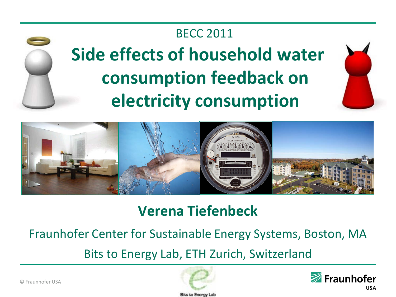#### BECC 2011





### **Verena Tiefenbeck**

Fraunhofer Center for Sustainable Energy Systems, Boston, MA

Bits to Energy Lab, ETH Zurich, Switzerland



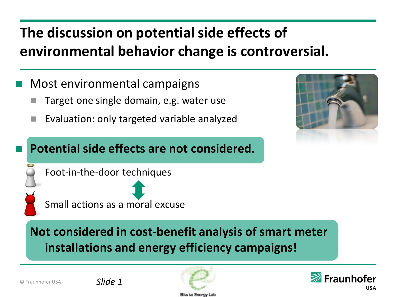### **The discussion on potential side effects of environmental behavior change is controversial.**

- Most environmental campaigns
	- Target one single domain, e.g. water use
	- Evaluation: only targeted variable analyzed

#### **Potential side effects are not considered.**





Small actions as a moral excuse

### **Not considered in cost-benefit analysis of smart meter installations and energy efficiency campaigns!**



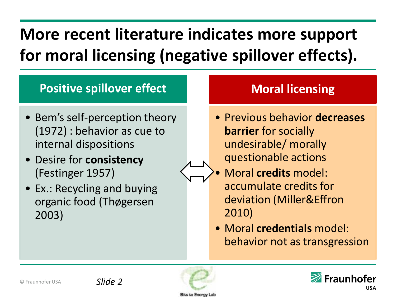# **More recent literature indicates more support for moral licensing (negative spillover effects).**

#### **Positive spillover effect**

- Bem's self-perception theory (1972) : behavior as cue to internal dispositions
- Desire for **consistency** (Festinger 1957)
- Ex.: Recycling and buying organic food (Thøgersen 2003)

### **Moral licensing**

- Previous behavior **decreases barrier** for socially undesirable/ morally questionable actions
- Moral **credits** model: accumulate credits for deviation (Miller&Effron 2010)
	- Moral **credentials** model: behavior not as transgression



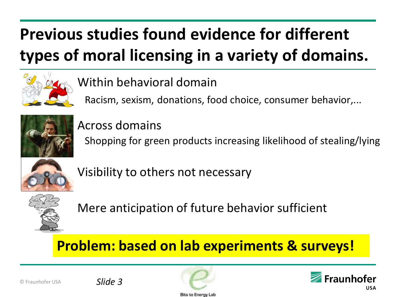# **Previous studies found evidence for different types of moral licensing in a variety of domains.**



### Within behavioral domain

Racism, sexism, donations, food choice, consumer behavior,...



#### Across domains

Shopping for green products increasing likelihood of stealing/lying



Visibility to others not necessary



Mere anticipation of future behavior sufficient

### **Problem: based on lab experiments & surveys!**



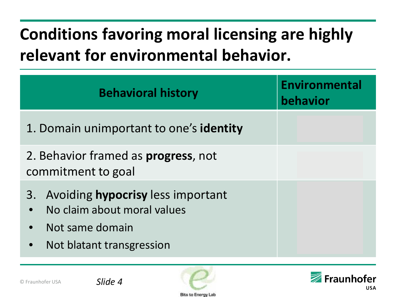# **Conditions favoring moral licensing are highly relevant for environmental behavior.**

| <b>Behavioral history</b>                                                                                                                     | <b>Environmental</b><br>behavior |
|-----------------------------------------------------------------------------------------------------------------------------------------------|----------------------------------|
| 1. Domain unimportant to one's identity                                                                                                       |                                  |
| 2. Behavior framed as <b>progress</b> , not<br>commitment to goal                                                                             |                                  |
| 3. Avoiding hypocrisy less important<br>No claim about moral values<br>Not same domain<br>$\bullet$<br>Not blatant transgression<br>$\bullet$ |                                  |



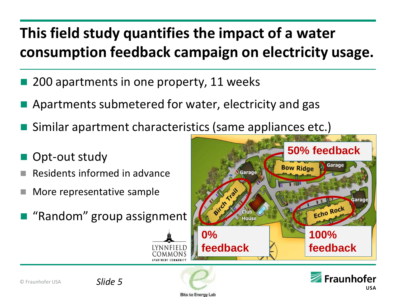### **This field study quantifies the impact of a water consumption feedback campaign on electricity usage.**

- 200 apartments in one property, 11 weeks
- Apartments submetered for water, electricity and gas
- Similar apartment characteristics (same appliances etc.)
- Opt-out study
- Residents informed in advance
- More representative sample
- "Random" group assignment





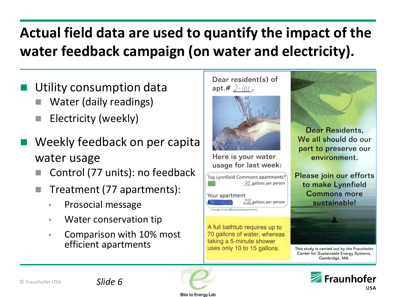### **Actual field data are used to quantify the impact of the water feedback campaign (on water and electricity).**

- Utility consumption data
	- Water (daily readings)
	- Electricity (weekly)
- Weekly feedback on per capita water usage
	- Control (77 units): no feedback
	- Treatment (77 apartments):
		- Prosocial message
		- Water conservation tip
		- Comparison with 10% most efficient apartments







**Bits to Energy Lab**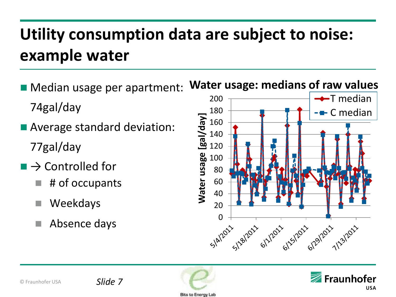# **Utility consumption data are subject to noise: example water**

- **Median usage per apartment:** 74gal/day
- Average standard deviation: 77gal/day
- $\Box \rightarrow$  Controlled for
	- # of occupants
	- Weekdays
	-





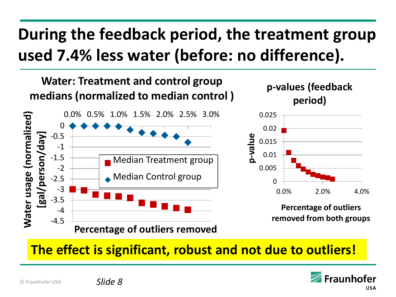## **During the feedback period, the treatment group used 7.4% less water (before: no difference).**



**The effect is significant, robust and not due to outliers!** 

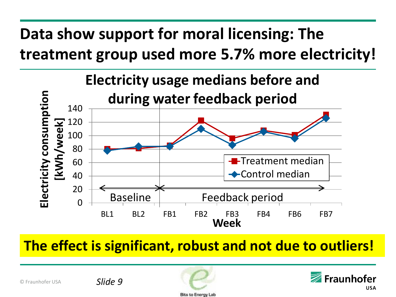## **Data show support for moral licensing: The treatment group used more 5.7% more electricity!**



**The effect is significant, robust and not due to outliers!** 

© Fraunhofer USA

*Slide 9*



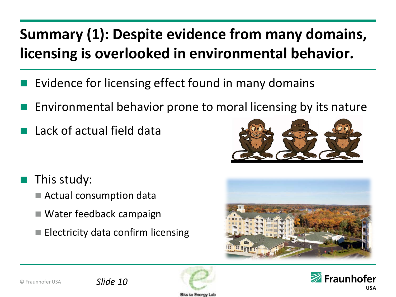### **Summary (1): Despite evidence from many domains, licensing is overlooked in environmental behavior.**

- Evidence for licensing effect found in many domains
- Environmental behavior prone to moral licensing by its nature
- Lack of actual field data

- This study:
	- Actual consumption data
	- Water feedback campaign
	- $\blacksquare$  Electricity data confirm licensing









Bits to Enero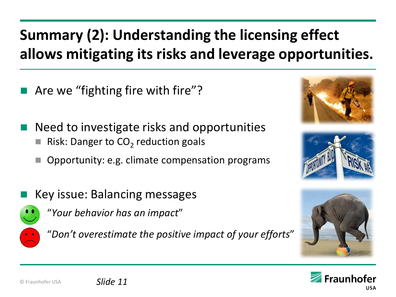### **Summary (2): Understanding the licensing effect allows mitigating its risks and leverage opportunities.**

- Are we "fighting fire with fire"?
- Need to investigate risks and opportunities
	- Risk: Danger to  $CO<sub>2</sub>$  reduction goals
	- Opportunity: e.g. climate compensation programs
- Key issue: Balancing messages



"*Your behavior has an impact*"



"*Don't overestimate the positive impact of your efforts*"